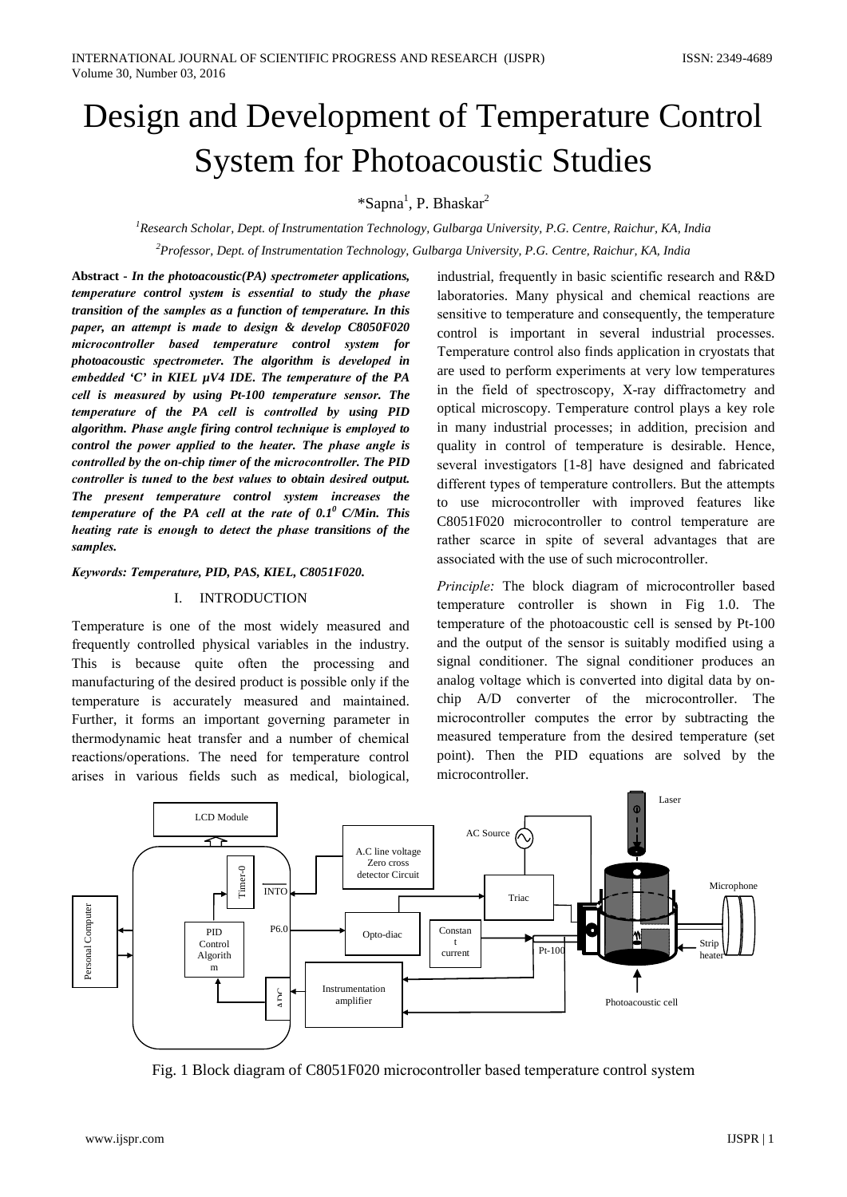# Design and Development of Temperature Control **System for Photoacoustic Studies**

# \*Sapna<sup>1</sup>, P. Bhaskar<sup>2</sup>

<sup>1</sup>Research Scholar, Dept. of Instrumentation Technology, Gulbarga University, P.G. Centre, Raichur, KA, India <sup>2</sup>Professor, Dept. of Instrumentation Technology, Gulbarga University, P.G. Centre, Raichur, KA, India

Abstract - In the photoacoustic $(PA)$  spectrometer applications, temperature control system is essential to study the phase transition of the samples as a function of temperature. In this paper, an attempt is made to design & develop C8050F020 microcontroller based temperature control system for photoacoustic spectrometer. The algorithm is developed in embedded 'C' in KIEL  $\mu$ V4 IDE. The temperature of the PA cell is measured by using Pt-100 temperature sensor. The temperature of the PA cell is controlled by using PID algorithm. Phase angle firing control technique is employed to control the power applied to the heater. The phase angle is controlled by the on-chip timer of the microcontroller. The PID controller is tuned to the best values to obtain desired output. The present temperature control system increases the temperature of the PA cell at the rate of  $0.1^\circ$  C/Min. This heating rate is enough to detect the phase transitions of the samples.

#### Keywords: Temperature, PID, PAS, KIEL, C8051F020.

#### I. INTRODUCTION

Temperature is one of the most widely measured and frequently controlled physical variables in the industry. This is because quite often the processing and manufacturing of the desired product is possible only if the temperature is accurately measured and maintained. Further, it forms an important governing parameter in thermodynamic heat transfer and a number of chemical reactions/operations. The need for temperature control arises in various fields such as medical, biological,

industrial, frequently in basic scientific research and R&D laboratories. Many physical and chemical reactions are sensitive to temperature and consequently, the temperature control is important in several industrial processes. Temperature control also finds application in cryostats that are used to perform experiments at very low temperatures in the field of spectroscopy, X-ray diffractometry and optical microscopy. Temperature control plays a key role in many industrial processes; in addition, precision and quality in control of temperature is desirable. Hence, several investigators [1-8] have designed and fabricated different types of temperature controllers. But the attempts to use microcontroller with improved features like C8051F020 microcontroller to control temperature are rather scarce in spite of several advantages that are associated with the use of such microcontroller.

Principle: The block diagram of microcontroller based temperature controller is shown in Fig 1.0. The temperature of the photoacoustic cell is sensed by Pt-100 and the output of the sensor is suitably modified using a signal conditioner. The signal conditioner produces an analog voltage which is converted into digital data by onchip A/D converter of the microcontroller. The microcontroller computes the error by subtracting the measured temperature from the desired temperature (set point). Then the PID equations are solved by the microcontroller.



Fig. 1 Block diagram of C8051F020 microcontroller based temperature control system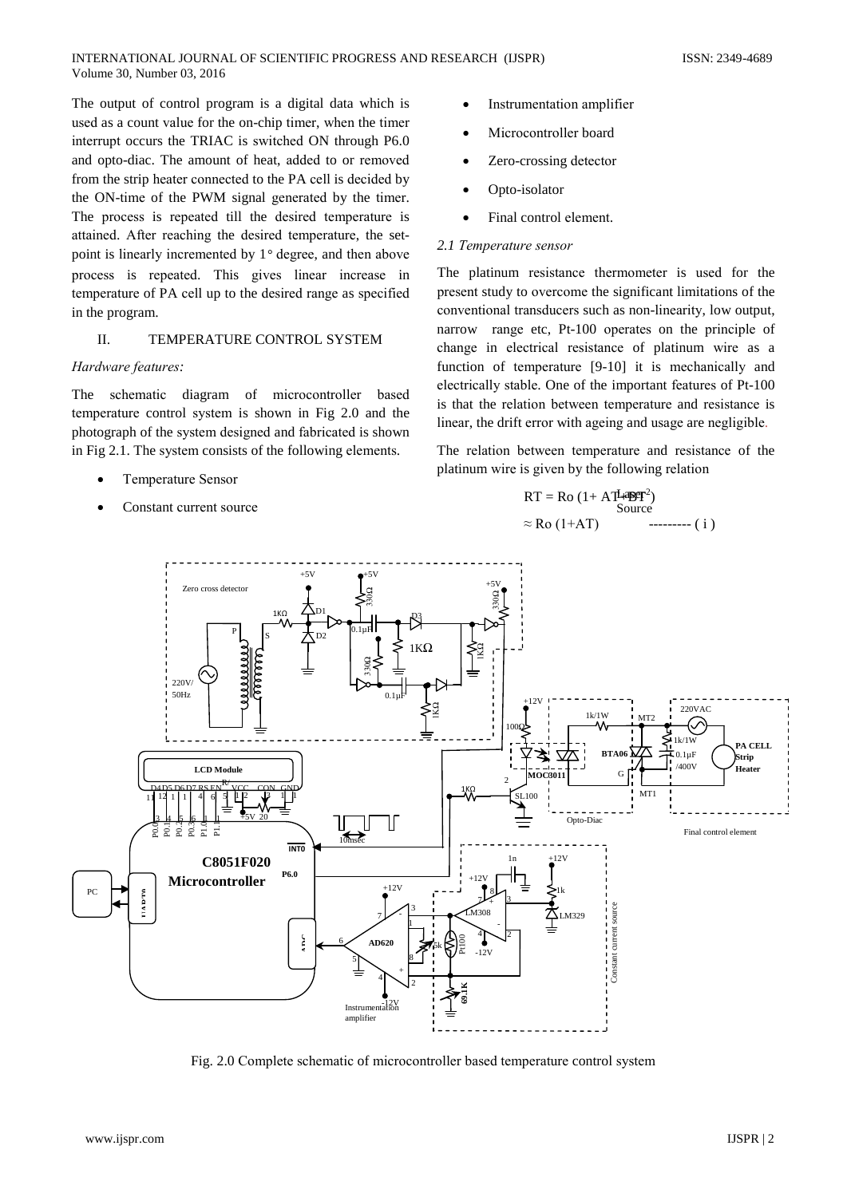The output of control program is a digital data which is used as a count value for the on-chip timer, when the timer interrupt occurs the TRIAC is switched ON through P6.0 and opto-diac. The amount of heat, added to or removed from the strip heater connected to the PA cell is decided by the ON-time of the PWM signal generated by the timer. The process is repeated till the desired temperature is attained. After reaching the desired temperature, the setpoint is linearly incremented by 1° degree, and then above process is repeated. This gives linear increase in temperature of PA cell up to the desired range as specified in the program.

#### II. TEMPERATURE CONTROL SYSTEM

## Hardware features:

The schematic diagram of microcontroller based temperature control system is shown in Fig 2.0 and the photograph of the system designed and fabricated is shown in Fig 2.1. The system consists of the following elements.

- **Temperature Sensor**
- Constant current source
- Instrumentation amplifier
- Microcontroller board
- Zero-crossing detector
- Opto-isolator
- Final control element.  $\blacksquare$

#### 2.1 Temperature sensor

The platinum resistance thermometer is used for the present study to overcome the significant limitations of the conventional transducers such as non-linearity, low output, narrow range etc, Pt-100 operates on the principle of change in electrical resistance of platinum wire as a function of temperature [9-10] it is mechanically and electrically stable. One of the important features of Pt-100 is that the relation between temperature and resistance is linear, the drift error with ageing and usage are negligible.

The relation between temperature and resistance of the platinum wire is given by the following relation

$$
RT = Ro (1 + A T L 4 B T2)
$$
  
Source  

$$
\approx Ro (1 + AT)
$$
 -------- (i)



Fig. 2.0 Complete schematic of microcontroller based temperature control system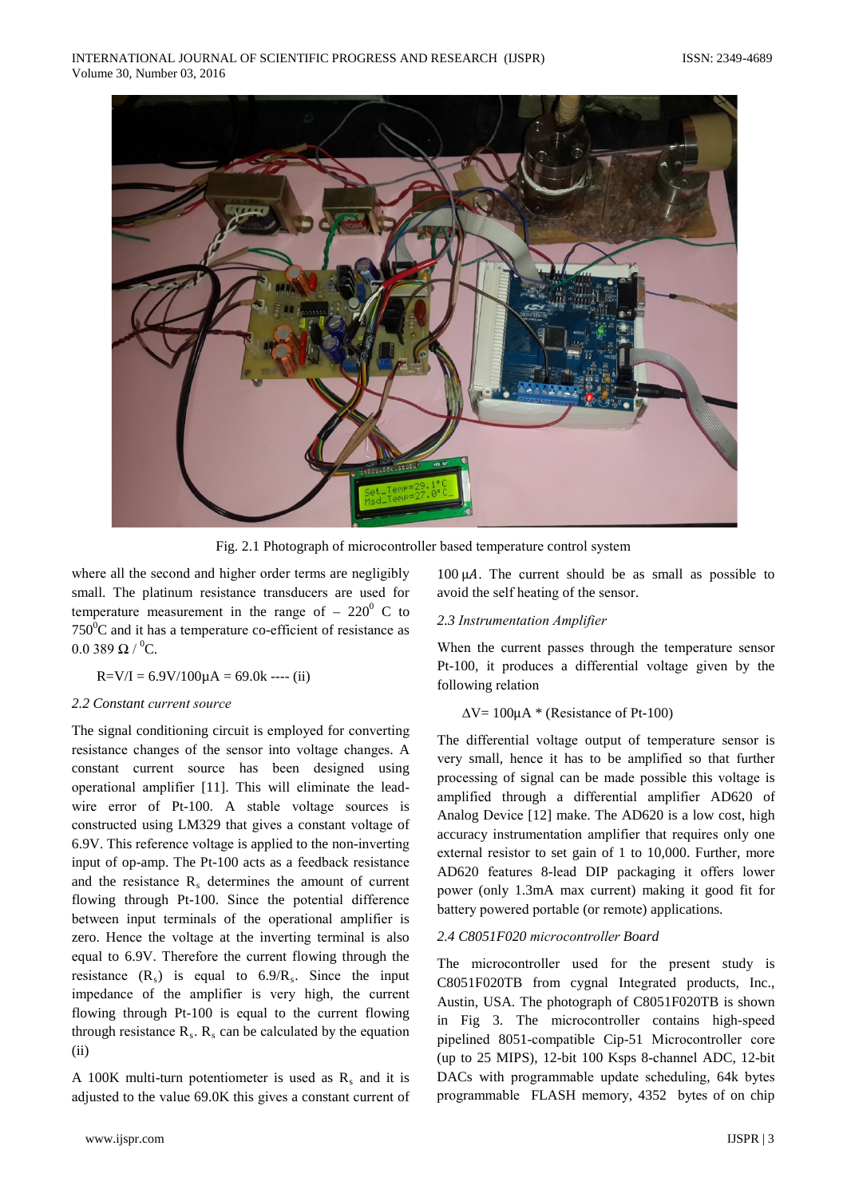

Fig. 2.1 Photograph of microcontroller based temperature control system

where all the second and higher order terms are negligibly small. The platinum resistance transducers are used for temperature measurement in the range of  $-220^{\circ}$  C to  $750^{\circ}$ C and it has a temperature co-efficient of resistance as  $0.0389$  O  $^{0}$ C

$$
R = V/I = 6.9V/100\mu A = 69.0k --- (ii)
$$

# 2.2 Constant current source

The signal conditioning circuit is employed for converting resistance changes of the sensor into voltage changes. A constant current source has been designed using operational amplifier [11]. This will eliminate the leadwire error of Pt-100. A stable voltage sources is constructed using LM329 that gives a constant voltage of 6.9V. This reference voltage is applied to the non-inverting input of op-amp. The Pt-100 acts as a feedback resistance and the resistance R, determines the amount of current flowing through Pt-100. Since the potential difference between input terminals of the operational amplifier is zero. Hence the voltage at the inverting terminal is also equal to 6.9V. Therefore the current flowing through the resistance  $(R_s)$  is equal to  $6.9/R_s$ . Since the input impedance of the amplifier is very high, the current flowing through Pt-100 is equal to the current flowing through resistance  $R_s$ .  $R_s$  can be calculated by the equation  $(ii)$ 

A 100K multi-turn potentiometer is used as  $R_s$  and it is adjusted to the value 69.0K this gives a constant current of

 $100 \mu A$ . The current should be as small as possible to avoid the self heating of the sensor.

# 2.3 Instrumentation Amplifier

When the current passes through the temperature sensor Pt-100, it produces a differential voltage given by the following relation

## $\Delta V = 100\mu A$  \* (Resistance of Pt-100)

The differential voltage output of temperature sensor is very small, hence it has to be amplified so that further processing of signal can be made possible this voltage is amplified through a differential amplifier AD620 of Analog Device [12] make. The AD620 is a low cost, high accuracy instrumentation amplifier that requires only one external resistor to set gain of 1 to 10,000. Further, more AD620 features 8-lead DIP packaging it offers lower power (only 1.3mA max current) making it good fit for battery powered portable (or remote) applications.

## 2.4 C8051F020 microcontroller Board

The microcontroller used for the present study is C8051F020TB from cygnal Integrated products, Inc., Austin, USA. The photograph of C8051F020TB is shown in Fig 3. The microcontroller contains high-speed pipelined 8051-compatible Cip-51 Microcontroller core (up to 25 MIPS), 12-bit 100 Ksps 8-channel ADC, 12-bit DACs with programmable update scheduling, 64k bytes programmable FLASH memory, 4352 bytes of on chip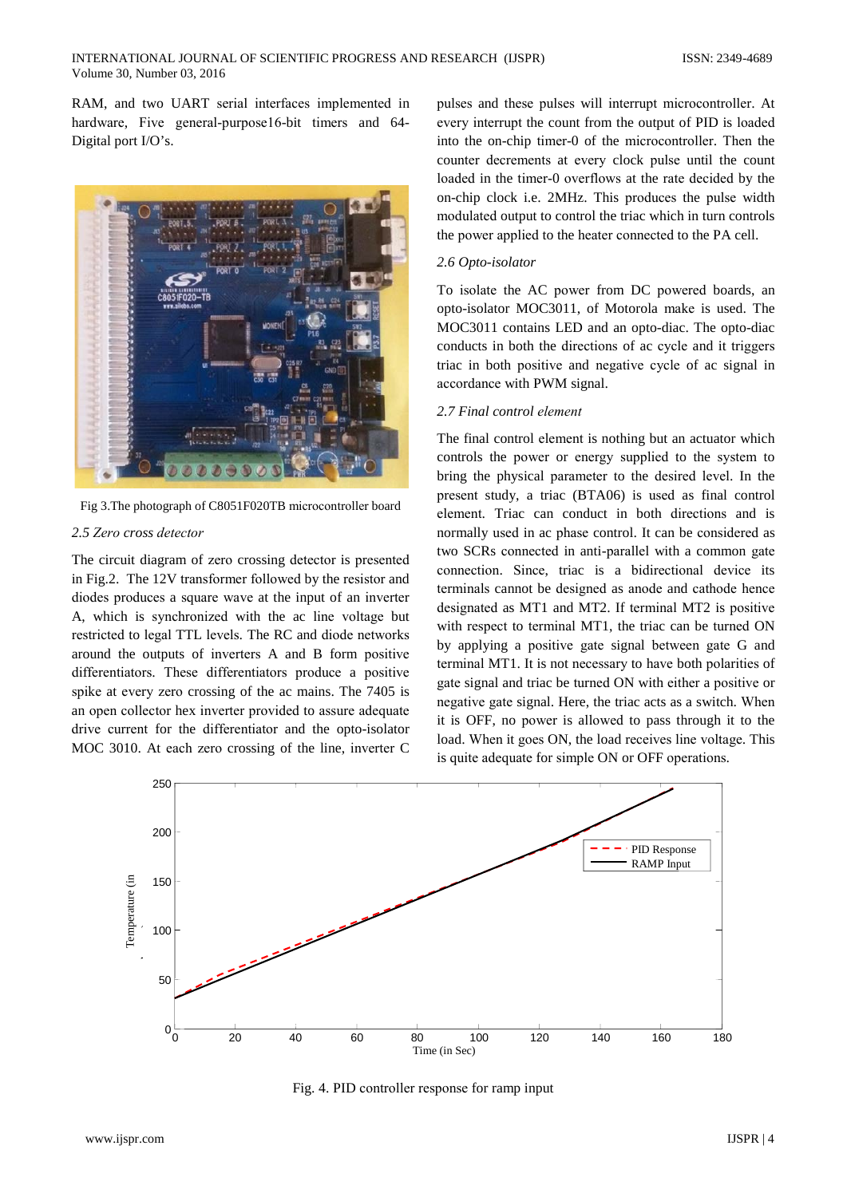RAM, and two UART serial interfaces implemented in hardware, Five general-purpose16-bit timers and 64-Digital port I/O's.



Fig 3. The photograph of C8051F020TB microcontroller board

# 2.5 Zero cross detector

The circuit diagram of zero crossing detector is presented in Fig.2. The 12V transformer followed by the resistor and diodes produces a square wave at the input of an inverter A, which is synchronized with the ac line voltage but restricted to legal TTL levels. The RC and diode networks around the outputs of inverters A and B form positive differentiators. These differentiators produce a positive spike at every zero crossing of the ac mains. The 7405 is an open collector hex inverter provided to assure adequate drive current for the differentiator and the opto-isolator MOC 3010. At each zero crossing of the line, inverter C

pulses and these pulses will interrupt microcontroller. At every interrupt the count from the output of PID is loaded into the on-chip timer-0 of the microcontroller. Then the counter decrements at every clock pulse until the count loaded in the timer-0 overflows at the rate decided by the on-chip clock i.e. 2MHz. This produces the pulse width modulated output to control the triac which in turn controls the power applied to the heater connected to the PA cell.

## 2.6 Opto-isolator

To isolate the AC power from DC powered boards, an opto-isolator MOC3011, of Motorola make is used. The MOC3011 contains LED and an opto-diac. The opto-diac conducts in both the directions of ac cycle and it triggers triac in both positive and negative cycle of ac signal in accordance with PWM signal.

# 2.7 Final control element

The final control element is nothing but an actuator which controls the power or energy supplied to the system to bring the physical parameter to the desired level. In the present study, a triac (BTA06) is used as final control element. Triac can conduct in both directions and is normally used in ac phase control. It can be considered as two SCRs connected in anti-parallel with a common gate connection. Since, triac is a bidirectional device its terminals cannot be designed as anode and cathode hence designated as MT1 and MT2. If terminal MT2 is positive with respect to terminal MT1, the triac can be turned ON by applying a positive gate signal between gate G and terminal MT1. It is not necessary to have both polarities of gate signal and triac be turned ON with either a positive or negative gate signal. Here, the triac acts as a switch. When it is OFF, no power is allowed to pass through it to the load. When it goes ON, the load receives line voltage. This is quite adequate for simple ON or OFF operations.



Fig. 4. PID controller response for ramp input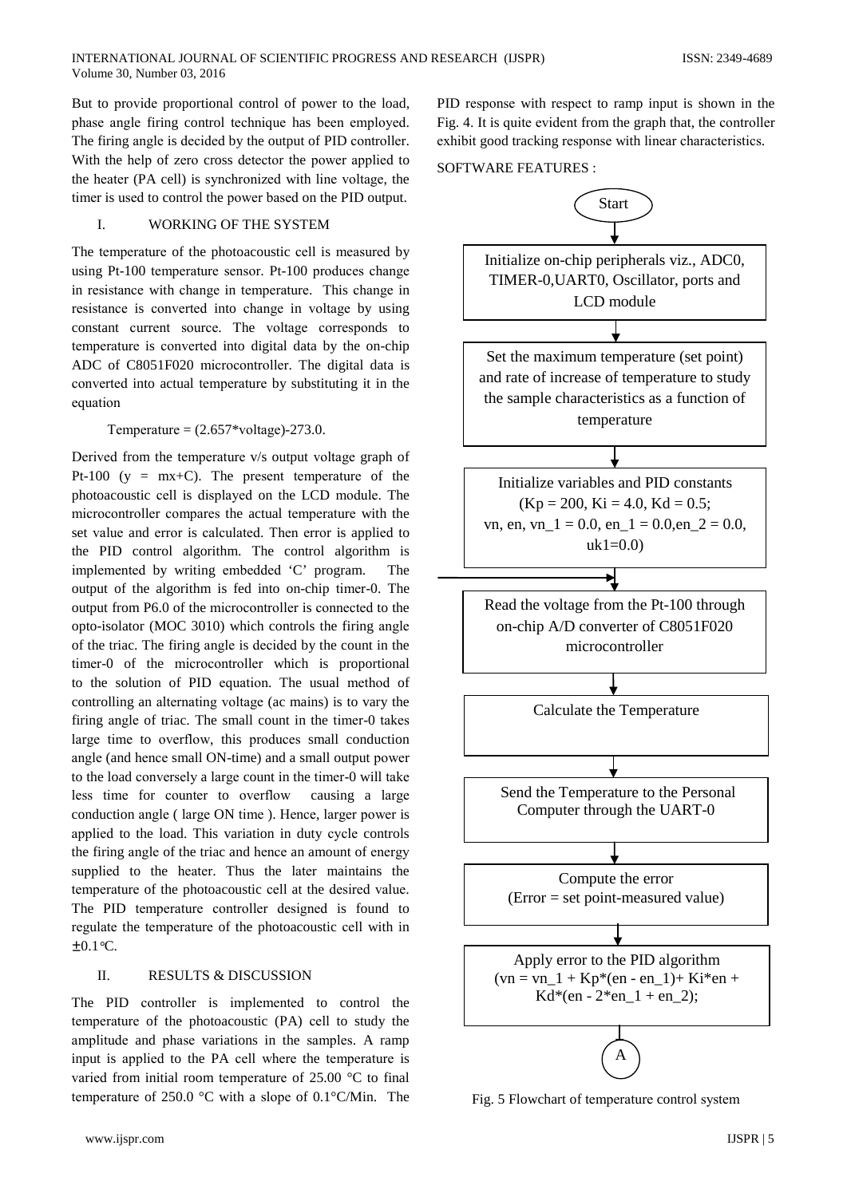But to provide proportional control of power to the load, phase angle firing control technique has been employed. The firing angle is decided by the output of PID controller. With the help of zero cross detector the power applied to the heater (PA cell) is synchronized with line voltage, the timer is used to control the power based on the PID output.

#### $\mathbf{L}$ WORKING OF THE SYSTEM

The temperature of the photoacoustic cell is measured by using Pt-100 temperature sensor. Pt-100 produces change in resistance with change in temperature. This change in resistance is converted into change in voltage by using constant current source. The voltage corresponds to temperature is converted into digital data by the on-chip ADC of C8051F020 microcontroller. The digital data is converted into actual temperature by substituting it in the equation

### Temperature =  $(2.657*voltage)$ -273.0.

Derived from the temperature v/s output voltage graph of Pt-100 ( $y = mx+C$ ). The present temperature of the photoacoustic cell is displayed on the LCD module. The microcontroller compares the actual temperature with the set value and error is calculated. Then error is applied to the PID control algorithm. The control algorithm is implemented by writing embedded 'C' program. The output of the algorithm is fed into on-chip timer-0. The output from P6.0 of the microcontroller is connected to the opto-isolator (MOC 3010) which controls the firing angle of the triac. The firing angle is decided by the count in the timer-0 of the microcontroller which is proportional to the solution of PID equation. The usual method of controlling an alternating voltage (ac mains) is to vary the firing angle of triac. The small count in the timer-0 takes large time to overflow, this produces small conduction angle (and hence small ON-time) and a small output power to the load conversely a large count in the timer-0 will take less time for counter to overflow causing a large conduction angle (large ON time). Hence, larger power is applied to the load. This variation in duty cycle controls the firing angle of the triac and hence an amount of energy supplied to the heater. Thus the later maintains the temperature of the photoacoustic cell at the desired value. The PID temperature controller designed is found to regulate the temperature of the photoacoustic cell with in  $+0.1$  °C.

#### $\Pi$ RESULTS & DISCUSSION

The PID controller is implemented to control the temperature of the photoacoustic (PA) cell to study the amplitude and phase variations in the samples. A ramp input is applied to the PA cell where the temperature is varied from initial room temperature of  $25.00$  °C to final temperature of 250.0 °C with a slope of  $0.1$ °C/Min. The

www.ijspr.com

PID response with respect to ramp input is shown in the Fig. 4. It is quite evident from the graph that, the controller exhibit good tracking response with linear characteristics.

SOFTWARE FEATURES :



Fig. 5 Flowchart of temperature control system